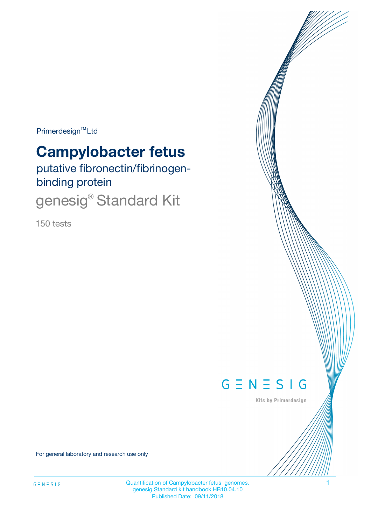Primerdesign<sup>™</sup>Ltd

# **Campylobacter fetus**

putative fibronectin/fibrinogenbinding protein

genesig® Standard Kit

150 tests



Kits by Primerdesign

For general laboratory and research use only

Quantification of Campylobacter fetus genomes. 1 genesig Standard kit handbook HB10.04.10 Published Date: 09/11/2018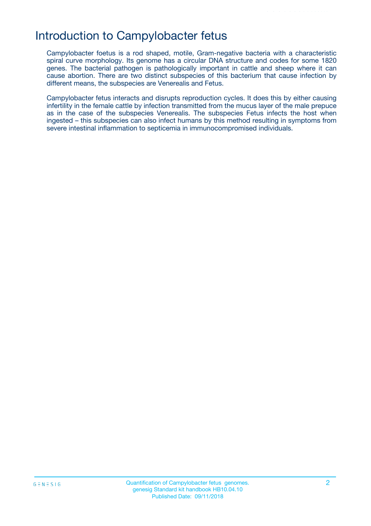### Introduction to Campylobacter fetus

Campylobacter foetus is a rod shaped, motile, Gram-negative bacteria with a characteristic spiral curve morphology. Its genome has a circular DNA structure and codes for some 1820 genes. The bacterial pathogen is pathologically important in cattle and sheep where it can cause abortion. There are two distinct subspecies of this bacterium that cause infection by different means, the subspecies are Venerealis and Fetus.

Campylobacter fetus interacts and disrupts reproduction cycles. It does this by either causing infertility in the female cattle by infection transmitted from the mucus layer of the male prepuce as in the case of the subspecies Venerealis. The subspecies Fetus infects the host when ingested – this subspecies can also infect humans by this method resulting in symptoms from severe intestinal inflammation to septicemia in immunocompromised individuals.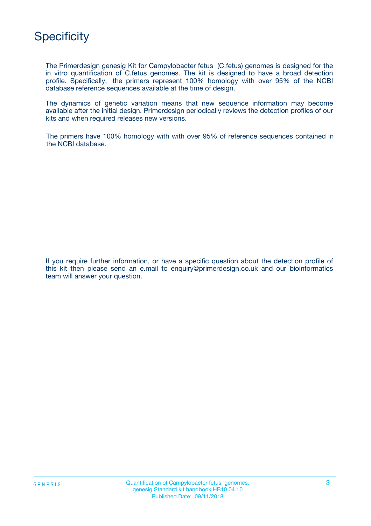

The Primerdesign genesig Kit for Campylobacter fetus (C.fetus) genomes is designed for the in vitro quantification of C.fetus genomes. The kit is designed to have a broad detection profile. Specifically, the primers represent 100% homology with over 95% of the NCBI database reference sequences available at the time of design.

The dynamics of genetic variation means that new sequence information may become available after the initial design. Primerdesign periodically reviews the detection profiles of our kits and when required releases new versions.

The primers have 100% homology with with over 95% of reference sequences contained in the NCBI database.

If you require further information, or have a specific question about the detection profile of this kit then please send an e.mail to enquiry@primerdesign.co.uk and our bioinformatics team will answer your question.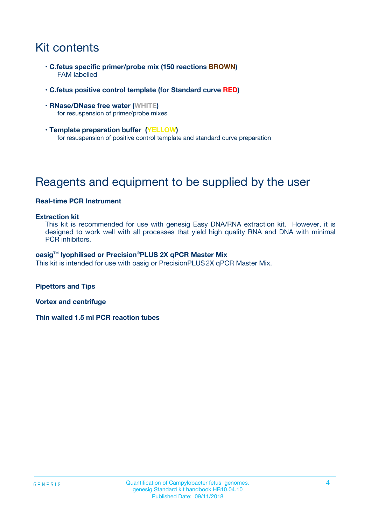# Kit contents

- **C.fetus specific primer/probe mix (150 reactions BROWN)** FAM labelled
- **C.fetus positive control template (for Standard curve RED)**
- **RNase/DNase free water (WHITE)** for resuspension of primer/probe mixes
- **Template preparation buffer (YELLOW)** for resuspension of positive control template and standard curve preparation

## Reagents and equipment to be supplied by the user

#### **Real-time PCR Instrument**

#### **Extraction kit**

This kit is recommended for use with genesig Easy DNA/RNA extraction kit. However, it is designed to work well with all processes that yield high quality RNA and DNA with minimal PCR inhibitors.

#### **oasig**TM **lyophilised or Precision**®**PLUS 2X qPCR Master Mix**

This kit is intended for use with oasig or PrecisionPLUS2X qPCR Master Mix.

**Pipettors and Tips**

**Vortex and centrifuge**

**Thin walled 1.5 ml PCR reaction tubes**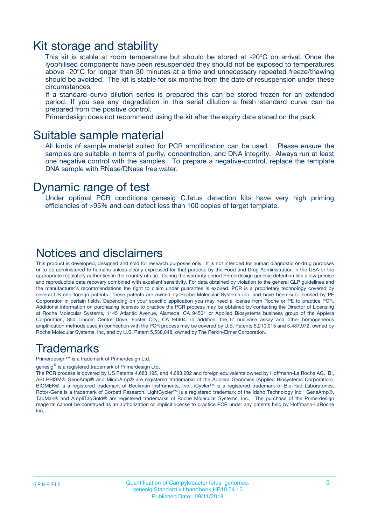### Kit storage and stability

This kit is stable at room temperature but should be stored at -20ºC on arrival. Once the lyophilised components have been resuspended they should not be exposed to temperatures above -20°C for longer than 30 minutes at a time and unnecessary repeated freeze/thawing should be avoided. The kit is stable for six months from the date of resuspension under these circumstances.

If a standard curve dilution series is prepared this can be stored frozen for an extended period. If you see any degradation in this serial dilution a fresh standard curve can be prepared from the positive control.

Primerdesign does not recommend using the kit after the expiry date stated on the pack.

### Suitable sample material

All kinds of sample material suited for PCR amplification can be used. Please ensure the samples are suitable in terms of purity, concentration, and DNA integrity. Always run at least one negative control with the samples. To prepare a negative-control, replace the template DNA sample with RNase/DNase free water.

### Dynamic range of test

Under optimal PCR conditions genesig C.fetus detection kits have very high priming efficiencies of >95% and can detect less than 100 copies of target template.

### Notices and disclaimers

This product is developed, designed and sold for research purposes only. It is not intended for human diagnostic or drug purposes or to be administered to humans unless clearly expressed for that purpose by the Food and Drug Administration in the USA or the appropriate regulatory authorities in the country of use. During the warranty period Primerdesign genesig detection kits allow precise and reproducible data recovery combined with excellent sensitivity. For data obtained by violation to the general GLP guidelines and the manufacturer's recommendations the right to claim under guarantee is expired. PCR is a proprietary technology covered by several US and foreign patents. These patents are owned by Roche Molecular Systems Inc. and have been sub-licensed by PE Corporation in certain fields. Depending on your specific application you may need a license from Roche or PE to practice PCR. Additional information on purchasing licenses to practice the PCR process may be obtained by contacting the Director of Licensing at Roche Molecular Systems, 1145 Atlantic Avenue, Alameda, CA 94501 or Applied Biosystems business group of the Applera Corporation, 850 Lincoln Centre Drive, Foster City, CA 94404. In addition, the 5' nuclease assay and other homogeneous amplification methods used in connection with the PCR process may be covered by U.S. Patents 5,210,015 and 5,487,972, owned by Roche Molecular Systems, Inc, and by U.S. Patent 5,538,848, owned by The Perkin-Elmer Corporation.

### Trademarks

Primerdesign™ is a trademark of Primerdesign Ltd.

genesig $^\circledR$  is a registered trademark of Primerdesign Ltd.

The PCR process is covered by US Patents 4,683,195, and 4,683,202 and foreign equivalents owned by Hoffmann-La Roche AG. BI, ABI PRISM® GeneAmp® and MicroAmp® are registered trademarks of the Applera Genomics (Applied Biosystems Corporation). BIOMEK® is a registered trademark of Beckman Instruments, Inc.; iCycler™ is a registered trademark of Bio-Rad Laboratories, Rotor-Gene is a trademark of Corbett Research. LightCycler™ is a registered trademark of the Idaho Technology Inc. GeneAmp®, TaqMan® and AmpliTaqGold® are registered trademarks of Roche Molecular Systems, Inc., The purchase of the Primerdesign reagents cannot be construed as an authorization or implicit license to practice PCR under any patents held by Hoffmann-LaRoche Inc.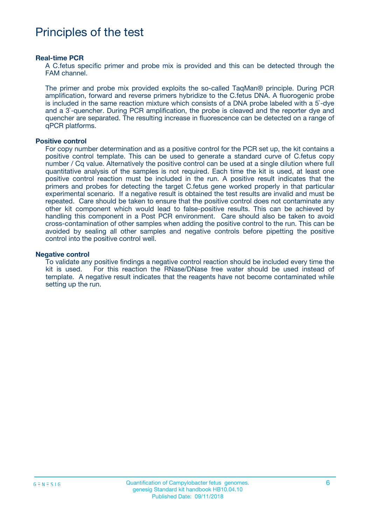### Principles of the test

#### **Real-time PCR**

A C.fetus specific primer and probe mix is provided and this can be detected through the FAM channel.

The primer and probe mix provided exploits the so-called TaqMan® principle. During PCR amplification, forward and reverse primers hybridize to the C.fetus DNA. A fluorogenic probe is included in the same reaction mixture which consists of a DNA probe labeled with a 5`-dye and a 3`-quencher. During PCR amplification, the probe is cleaved and the reporter dye and quencher are separated. The resulting increase in fluorescence can be detected on a range of qPCR platforms.

#### **Positive control**

For copy number determination and as a positive control for the PCR set up, the kit contains a positive control template. This can be used to generate a standard curve of C.fetus copy number / Cq value. Alternatively the positive control can be used at a single dilution where full quantitative analysis of the samples is not required. Each time the kit is used, at least one positive control reaction must be included in the run. A positive result indicates that the primers and probes for detecting the target C.fetus gene worked properly in that particular experimental scenario. If a negative result is obtained the test results are invalid and must be repeated. Care should be taken to ensure that the positive control does not contaminate any other kit component which would lead to false-positive results. This can be achieved by handling this component in a Post PCR environment. Care should also be taken to avoid cross-contamination of other samples when adding the positive control to the run. This can be avoided by sealing all other samples and negative controls before pipetting the positive control into the positive control well.

#### **Negative control**

To validate any positive findings a negative control reaction should be included every time the kit is used. For this reaction the RNase/DNase free water should be used instead of template. A negative result indicates that the reagents have not become contaminated while setting up the run.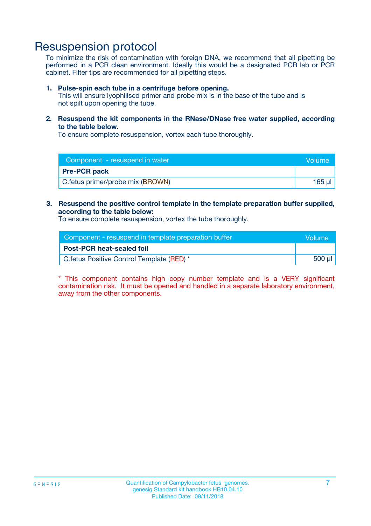### Resuspension protocol

To minimize the risk of contamination with foreign DNA, we recommend that all pipetting be performed in a PCR clean environment. Ideally this would be a designated PCR lab or PCR cabinet. Filter tips are recommended for all pipetting steps.

#### **1. Pulse-spin each tube in a centrifuge before opening.**

This will ensure lyophilised primer and probe mix is in the base of the tube and is not spilt upon opening the tube.

**2. Resuspend the kit components in the RNase/DNase free water supplied, according to the table below.**

To ensure complete resuspension, vortex each tube thoroughly.

| Component - resuspend in water   | Volume |
|----------------------------------|--------|
| <b>Pre-PCR pack</b>              |        |
| C.fetus primer/probe mix (BROWN) | 165 ul |

#### **3. Resuspend the positive control template in the template preparation buffer supplied, according to the table below:**

To ensure complete resuspension, vortex the tube thoroughly.

| Component - resuspend in template preparation buffer | lVolume' |
|------------------------------------------------------|----------|
| <b>Post-PCR heat-sealed foil</b>                     |          |
| C. fetus Positive Control Template (RED) *           | 500 µl   |

\* This component contains high copy number template and is a VERY significant contamination risk. It must be opened and handled in a separate laboratory environment, away from the other components.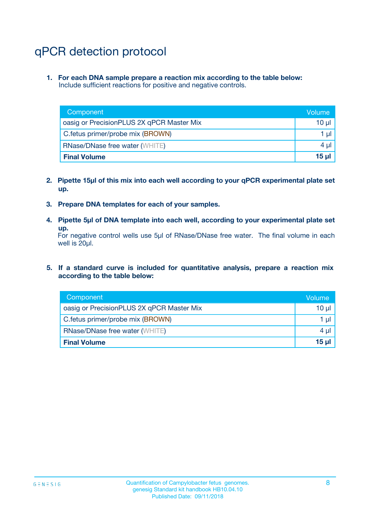# qPCR detection protocol

**1. For each DNA sample prepare a reaction mix according to the table below:** Include sufficient reactions for positive and negative controls.

| Component                                 | Volume           |
|-------------------------------------------|------------------|
| oasig or PrecisionPLUS 2X qPCR Master Mix | 10 $\mu$         |
| C.fetus primer/probe mix (BROWN)          | 1 $\mu$          |
| <b>RNase/DNase free water (WHITE)</b>     | $4 \mu$          |
| <b>Final Volume</b>                       | 15 <sub>ul</sub> |

- **2. Pipette 15µl of this mix into each well according to your qPCR experimental plate set up.**
- **3. Prepare DNA templates for each of your samples.**
- **4. Pipette 5µl of DNA template into each well, according to your experimental plate set up.**

For negative control wells use 5µl of RNase/DNase free water. The final volume in each well is 20µl.

**5. If a standard curve is included for quantitative analysis, prepare a reaction mix according to the table below:**

| Component                                 | Volume          |
|-------------------------------------------|-----------------|
| oasig or PrecisionPLUS 2X qPCR Master Mix | 10 µl           |
| C.fetus primer/probe mix (BROWN)          | 1 µI            |
| <b>RNase/DNase free water (WHITE)</b>     | $4 \mu$         |
| <b>Final Volume</b>                       | 15 <sub>µ</sub> |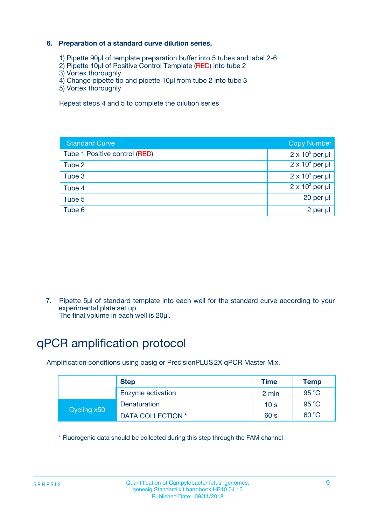#### **6. Preparation of a standard curve dilution series.**

- 1) Pipette 90µl of template preparation buffer into 5 tubes and label 2-6
- 2) Pipette 10µl of Positive Control Template (RED) into tube 2
- 3) Vortex thoroughly
- 4) Change pipette tip and pipette 10µl from tube 2 into tube 3
- 5) Vortex thoroughly

Repeat steps 4 and 5 to complete the dilution series

| <b>Standard Curve</b>         | <b>Copy Number</b>     |
|-------------------------------|------------------------|
| Tube 1 Positive control (RED) | $2 \times 10^5$ per µl |
| Tube 2                        | $2 \times 10^4$ per µl |
| Tube 3                        | $2 \times 10^3$ per µl |
| Tube 4                        | $2 \times 10^2$ per µl |
| Tube 5                        | 20 per µl              |
| Tube 6                        | $2$ per $\mu$          |

7. Pipette 5µl of standard template into each well for the standard curve according to your experimental plate set up.

The final volume in each well is 20µl.

# qPCR amplification protocol

Amplification conditions using oasig or PrecisionPLUS2X qPCR Master Mix.

|             | <b>Step</b>       | <b>Time</b>     | Temp           |
|-------------|-------------------|-----------------|----------------|
|             | Enzyme activation | 2 min           | $95^{\circ}$ C |
| Cycling x50 | Denaturation      | 10 <sub>s</sub> | 95 $°C$        |
|             | DATA COLLECTION * | 60 s            | 60 °C          |

\* Fluorogenic data should be collected during this step through the FAM channel